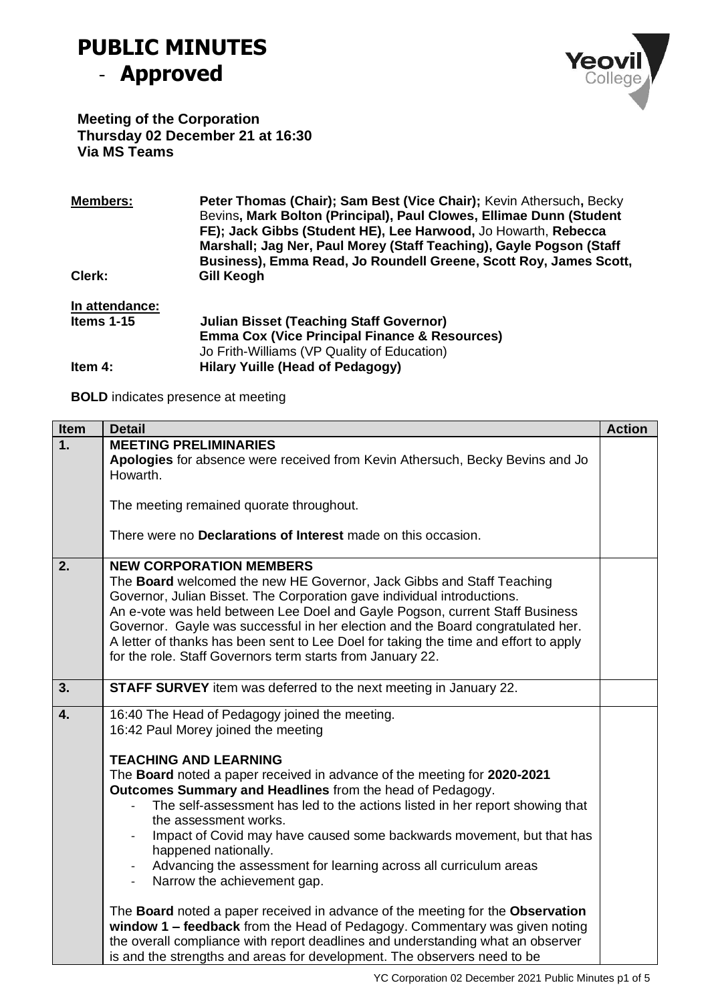## **PUBLIC MINUTES**  - **Approved**



**Meeting of the Corporation Thursday 02 December 21 at 16:30 Via MS Teams**

| <b>Members:</b> | Peter Thomas (Chair); Sam Best (Vice Chair); Kevin Athersuch, Becky<br>Bevins, Mark Bolton (Principal), Paul Clowes, Ellimae Dunn (Student<br>FE); Jack Gibbs (Student HE), Lee Harwood, Jo Howarth, Rebecca<br>Marshall; Jag Ner, Paul Morey (Staff Teaching), Gayle Pogson (Staff<br>Business), Emma Read, Jo Roundell Greene, Scott Roy, James Scott, |
|-----------------|----------------------------------------------------------------------------------------------------------------------------------------------------------------------------------------------------------------------------------------------------------------------------------------------------------------------------------------------------------|
| Clerk:          | Gill Keogh                                                                                                                                                                                                                                                                                                                                               |
| In attendance:  |                                                                                                                                                                                                                                                                                                                                                          |
| Items $1-15$    | <b>Julian Bisset (Teaching Staff Governor)</b>                                                                                                                                                                                                                                                                                                           |
|                 | <b>Emma Cox (Vice Principal Finance &amp; Resources)</b>                                                                                                                                                                                                                                                                                                 |
|                 | Jo Frith-Williams (VP Quality of Education)                                                                                                                                                                                                                                                                                                              |
| Item 4:         | <b>Hilary Yuille (Head of Pedagogy)</b>                                                                                                                                                                                                                                                                                                                  |

**BOLD** indicates presence at meeting

| <b>Item</b> | <b>Detail</b>                                                                                                                                           | <b>Action</b> |
|-------------|---------------------------------------------------------------------------------------------------------------------------------------------------------|---------------|
| 1.          | <b>MEETING PRELIMINARIES</b><br>Apologies for absence were received from Kevin Athersuch, Becky Bevins and Jo                                           |               |
|             | Howarth.                                                                                                                                                |               |
|             | The meeting remained quorate throughout.                                                                                                                |               |
|             | There were no Declarations of Interest made on this occasion.                                                                                           |               |
| 2.          | <b>NEW CORPORATION MEMBERS</b>                                                                                                                          |               |
|             | The <b>Board</b> welcomed the new HE Governor, Jack Gibbs and Staff Teaching                                                                            |               |
|             | Governor, Julian Bisset. The Corporation gave individual introductions.<br>An e-vote was held between Lee Doel and Gayle Pogson, current Staff Business |               |
|             | Governor. Gayle was successful in her election and the Board congratulated her.                                                                         |               |
|             | A letter of thanks has been sent to Lee Doel for taking the time and effort to apply                                                                    |               |
|             | for the role. Staff Governors term starts from January 22.                                                                                              |               |
|             |                                                                                                                                                         |               |
| 3.          | STAFF SURVEY item was deferred to the next meeting in January 22.                                                                                       |               |
| 4.          | 16:40 The Head of Pedagogy joined the meeting.                                                                                                          |               |
|             | 16:42 Paul Morey joined the meeting                                                                                                                     |               |
|             | <b>TEACHING AND LEARNING</b>                                                                                                                            |               |
|             | The Board noted a paper received in advance of the meeting for 2020-2021                                                                                |               |
|             | Outcomes Summary and Headlines from the head of Pedagogy.                                                                                               |               |
|             | The self-assessment has led to the actions listed in her report showing that<br>the assessment works.                                                   |               |
|             | Impact of Covid may have caused some backwards movement, but that has                                                                                   |               |
|             | happened nationally.                                                                                                                                    |               |
|             | Advancing the assessment for learning across all curriculum areas                                                                                       |               |
|             | Narrow the achievement gap.<br>$\overline{\phantom{a}}$                                                                                                 |               |
|             | The Board noted a paper received in advance of the meeting for the Observation                                                                          |               |
|             | window 1 - feedback from the Head of Pedagogy. Commentary was given noting                                                                              |               |
|             | the overall compliance with report deadlines and understanding what an observer                                                                         |               |
|             | is and the strengths and areas for development. The observers need to be                                                                                |               |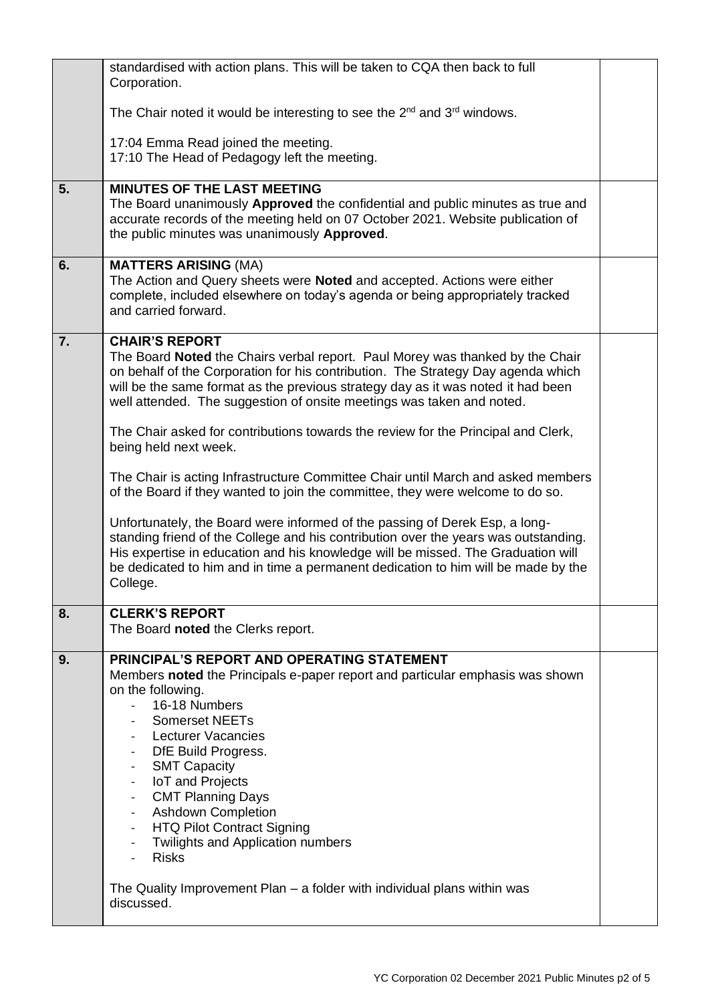|    | standardised with action plans. This will be taken to CQA then back to full<br>Corporation.                                                                                                                                                                                                                                                                                                                                                                                                                                                                                                                                                                                                                                                                                                                                                                                                                                                                                                            |  |
|----|--------------------------------------------------------------------------------------------------------------------------------------------------------------------------------------------------------------------------------------------------------------------------------------------------------------------------------------------------------------------------------------------------------------------------------------------------------------------------------------------------------------------------------------------------------------------------------------------------------------------------------------------------------------------------------------------------------------------------------------------------------------------------------------------------------------------------------------------------------------------------------------------------------------------------------------------------------------------------------------------------------|--|
|    | The Chair noted it would be interesting to see the $2^{nd}$ and $3^{rd}$ windows.                                                                                                                                                                                                                                                                                                                                                                                                                                                                                                                                                                                                                                                                                                                                                                                                                                                                                                                      |  |
|    | 17:04 Emma Read joined the meeting.<br>17:10 The Head of Pedagogy left the meeting.                                                                                                                                                                                                                                                                                                                                                                                                                                                                                                                                                                                                                                                                                                                                                                                                                                                                                                                    |  |
| 5. | <b>MINUTES OF THE LAST MEETING</b><br>The Board unanimously Approved the confidential and public minutes as true and<br>accurate records of the meeting held on 07 October 2021. Website publication of<br>the public minutes was unanimously Approved.                                                                                                                                                                                                                                                                                                                                                                                                                                                                                                                                                                                                                                                                                                                                                |  |
| 6. | <b>MATTERS ARISING (MA)</b><br>The Action and Query sheets were Noted and accepted. Actions were either<br>complete, included elsewhere on today's agenda or being appropriately tracked<br>and carried forward.                                                                                                                                                                                                                                                                                                                                                                                                                                                                                                                                                                                                                                                                                                                                                                                       |  |
| 7. | <b>CHAIR'S REPORT</b><br>The Board Noted the Chairs verbal report. Paul Morey was thanked by the Chair<br>on behalf of the Corporation for his contribution. The Strategy Day agenda which<br>will be the same format as the previous strategy day as it was noted it had been<br>well attended. The suggestion of onsite meetings was taken and noted.<br>The Chair asked for contributions towards the review for the Principal and Clerk,<br>being held next week.<br>The Chair is acting Infrastructure Committee Chair until March and asked members<br>of the Board if they wanted to join the committee, they were welcome to do so.<br>Unfortunately, the Board were informed of the passing of Derek Esp, a long-<br>standing friend of the College and his contribution over the years was outstanding.<br>His expertise in education and his knowledge will be missed. The Graduation will<br>be dedicated to him and in time a permanent dedication to him will be made by the<br>College. |  |
| 8. | <b>CLERK'S REPORT</b><br>The Board noted the Clerks report.                                                                                                                                                                                                                                                                                                                                                                                                                                                                                                                                                                                                                                                                                                                                                                                                                                                                                                                                            |  |
| 9. | PRINCIPAL'S REPORT AND OPERATING STATEMENT<br>Members noted the Principals e-paper report and particular emphasis was shown<br>on the following.<br>16-18 Numbers<br>$\omega_{\rm{max}}$<br><b>Somerset NEETs</b><br>Lecturer Vacancies<br>DfE Build Progress.<br><b>SMT Capacity</b><br>IoT and Projects<br>$\overline{\phantom{a}}$<br><b>CMT Planning Days</b><br>- Ashdown Completion<br>- HTQ Pilot Contract Signing<br><b>Twilights and Application numbers</b><br>Risks<br>The Quality Improvement Plan – a folder with individual plans within was                                                                                                                                                                                                                                                                                                                                                                                                                                             |  |
|    | discussed.                                                                                                                                                                                                                                                                                                                                                                                                                                                                                                                                                                                                                                                                                                                                                                                                                                                                                                                                                                                             |  |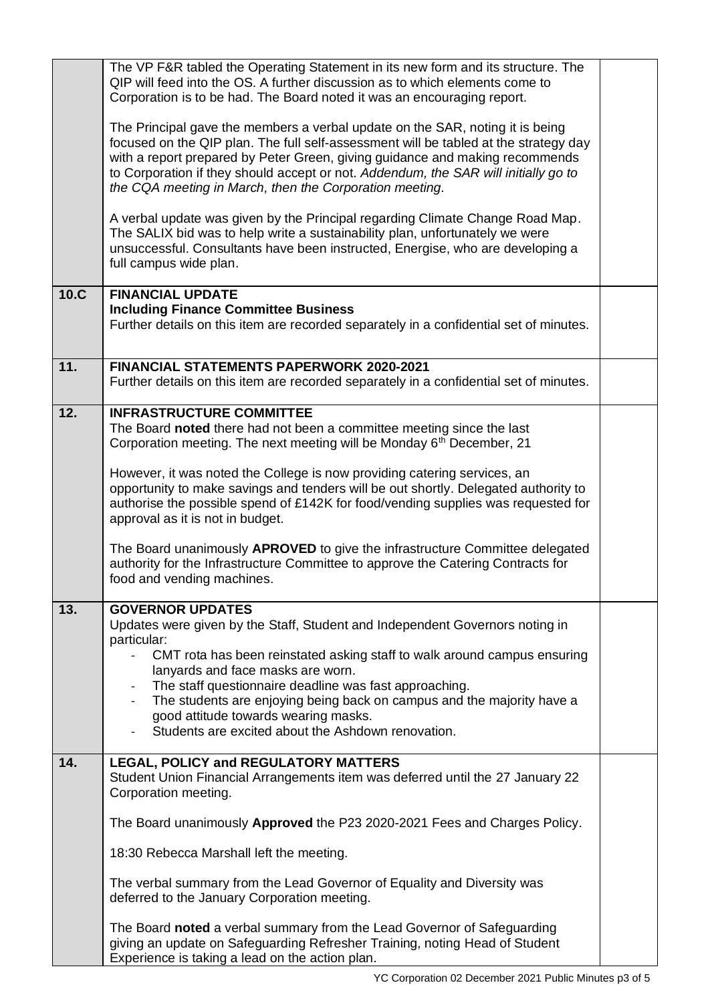|      | The VP F&R tabled the Operating Statement in its new form and its structure. The<br>QIP will feed into the OS. A further discussion as to which elements come to<br>Corporation is to be had. The Board noted it was an encouraging report.                                                                                                                                                             |  |
|------|---------------------------------------------------------------------------------------------------------------------------------------------------------------------------------------------------------------------------------------------------------------------------------------------------------------------------------------------------------------------------------------------------------|--|
|      | The Principal gave the members a verbal update on the SAR, noting it is being<br>focused on the QIP plan. The full self-assessment will be tabled at the strategy day<br>with a report prepared by Peter Green, giving guidance and making recommends<br>to Corporation if they should accept or not. Addendum, the SAR will initially go to<br>the CQA meeting in March, then the Corporation meeting. |  |
|      | A verbal update was given by the Principal regarding Climate Change Road Map.<br>The SALIX bid was to help write a sustainability plan, unfortunately we were<br>unsuccessful. Consultants have been instructed, Energise, who are developing a<br>full campus wide plan.                                                                                                                               |  |
| 10.C | <b>FINANCIAL UPDATE</b><br><b>Including Finance Committee Business</b><br>Further details on this item are recorded separately in a confidential set of minutes.                                                                                                                                                                                                                                        |  |
| 11.  | <b>FINANCIAL STATEMENTS PAPERWORK 2020-2021</b><br>Further details on this item are recorded separately in a confidential set of minutes.                                                                                                                                                                                                                                                               |  |
| 12.  | <b>INFRASTRUCTURE COMMITTEE</b><br>The Board noted there had not been a committee meeting since the last<br>Corporation meeting. The next meeting will be Monday 6th December, 21                                                                                                                                                                                                                       |  |
|      | However, it was noted the College is now providing catering services, an<br>opportunity to make savings and tenders will be out shortly. Delegated authority to<br>authorise the possible spend of £142K for food/vending supplies was requested for<br>approval as it is not in budget.                                                                                                                |  |
|      | The Board unanimously APROVED to give the infrastructure Committee delegated<br>authority for the Infrastructure Committee to approve the Catering Contracts for<br>food and vending machines.                                                                                                                                                                                                          |  |
| 13.  | <b>GOVERNOR UPDATES</b>                                                                                                                                                                                                                                                                                                                                                                                 |  |
|      | Updates were given by the Staff, Student and Independent Governors noting in<br>particular:                                                                                                                                                                                                                                                                                                             |  |
|      | CMT rota has been reinstated asking staff to walk around campus ensuring<br>lanyards and face masks are worn.                                                                                                                                                                                                                                                                                           |  |
|      | The staff questionnaire deadline was fast approaching.                                                                                                                                                                                                                                                                                                                                                  |  |
|      | The students are enjoying being back on campus and the majority have a<br>good attitude towards wearing masks.                                                                                                                                                                                                                                                                                          |  |
|      | Students are excited about the Ashdown renovation.                                                                                                                                                                                                                                                                                                                                                      |  |
| 14.  | LEGAL, POLICY and REGULATORY MATTERS<br>Student Union Financial Arrangements item was deferred until the 27 January 22<br>Corporation meeting.                                                                                                                                                                                                                                                          |  |
|      | The Board unanimously Approved the P23 2020-2021 Fees and Charges Policy.                                                                                                                                                                                                                                                                                                                               |  |
|      | 18:30 Rebecca Marshall left the meeting.                                                                                                                                                                                                                                                                                                                                                                |  |
|      | The verbal summary from the Lead Governor of Equality and Diversity was<br>deferred to the January Corporation meeting.                                                                                                                                                                                                                                                                                 |  |
|      | The Board noted a verbal summary from the Lead Governor of Safeguarding<br>giving an update on Safeguarding Refresher Training, noting Head of Student<br>Experience is taking a lead on the action plan.                                                                                                                                                                                               |  |